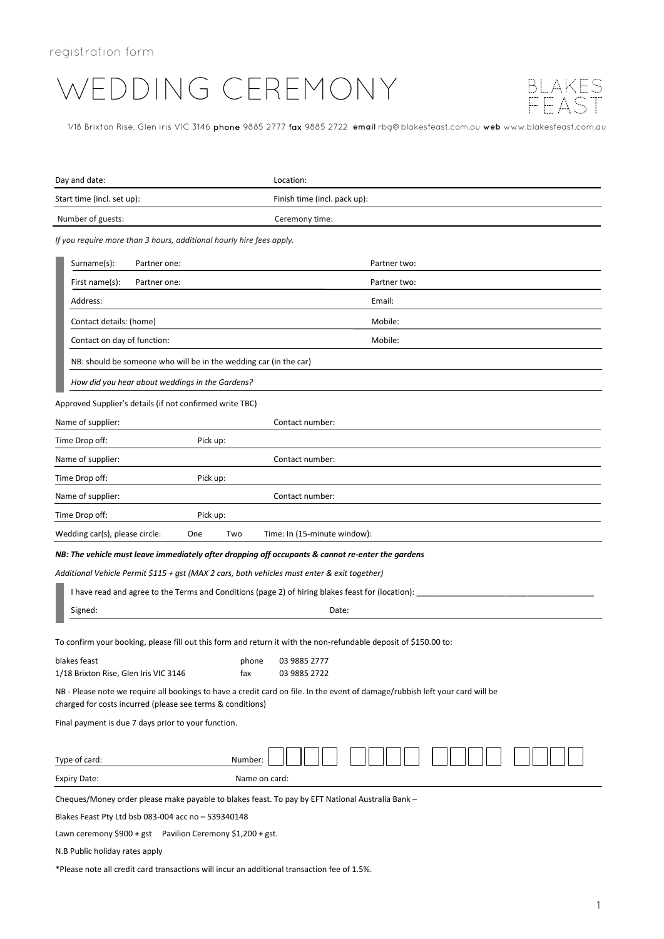# WEDDING CEREMONY



1/18 Brixton Rise, Glen iris VIC 3146 phone 9885 2777 fax 9885 2722 **email** rbg@blakesfeast.com.au **web** www.blakesfeast.com.au

| Day and date:                                                                                                    | Location:                                                                                                                     |
|------------------------------------------------------------------------------------------------------------------|-------------------------------------------------------------------------------------------------------------------------------|
| Start time (incl. set up):                                                                                       | Finish time (incl. pack up):                                                                                                  |
| Number of guests:                                                                                                | Ceremony time:                                                                                                                |
| If you require more than 3 hours, additional hourly hire fees apply.                                             |                                                                                                                               |
| Surname(s):<br>Partner one:                                                                                      | Partner two:                                                                                                                  |
| First name(s):<br>Partner one:                                                                                   | Partner two:                                                                                                                  |
| Address:                                                                                                         | Email:                                                                                                                        |
| Contact details: (home)                                                                                          | Mobile:                                                                                                                       |
| Contact on day of function:                                                                                      | Mobile:                                                                                                                       |
| NB: should be someone who will be in the wedding car (in the car)                                                |                                                                                                                               |
| How did you hear about weddings in the Gardens?                                                                  |                                                                                                                               |
| Approved Supplier's details (if not confirmed write TBC)                                                         |                                                                                                                               |
| Name of supplier:                                                                                                | Contact number:                                                                                                               |
| Time Drop off:<br>Pick up:                                                                                       |                                                                                                                               |
| Name of supplier:                                                                                                | Contact number:                                                                                                               |
| Time Drop off:<br>Pick up:                                                                                       |                                                                                                                               |
| Name of supplier:                                                                                                | Contact number:                                                                                                               |
| Time Drop off:<br>Pick up:                                                                                       |                                                                                                                               |
| Wedding car(s), please circle:<br>One<br>Two<br>Time: In (15-minute window):                                     |                                                                                                                               |
| NB: The vehicle must leave immediately after dropping off occupants & cannot re-enter the gardens                |                                                                                                                               |
| Additional Vehicle Permit \$115 + gst (MAX 2 cars, both vehicles must enter & exit together)                     |                                                                                                                               |
| I have read and agree to the Terms and Conditions (page 2) of hiring blakes feast for (location):                |                                                                                                                               |
| Signed:                                                                                                          | Date:                                                                                                                         |
| To confirm your booking, please fill out this form and return it with the non-refundable deposit of \$150.00 to: |                                                                                                                               |
| blakes feast<br>phone                                                                                            | 03 9885 2777                                                                                                                  |
| 1/18 Brixton Rise, Glen Iris VIC 3146<br>fax                                                                     | 03 9885 2722                                                                                                                  |
| charged for costs incurred (please see terms & conditions)                                                       | NB - Please note we require all bookings to have a credit card on file. In the event of damage/rubbish left your card will be |
| Final payment is due 7 days prior to your function.                                                              |                                                                                                                               |
| Type of card:<br>Number:                                                                                         |                                                                                                                               |
| <b>Expiry Date:</b><br>Name on card:                                                                             |                                                                                                                               |

Cheques/Money order please make payable to blakes feast. To pay by EFT National Australia Bank –

Blakes Feast Pty Ltd bsb 083-004 acc no – 539340148

Lawn ceremony \$900 + gst Pavilion Ceremony \$1,200 + gst.

N.B Public holiday rates apply

\*Please note all credit card transactions will incur an additional transaction fee of 1.5%.